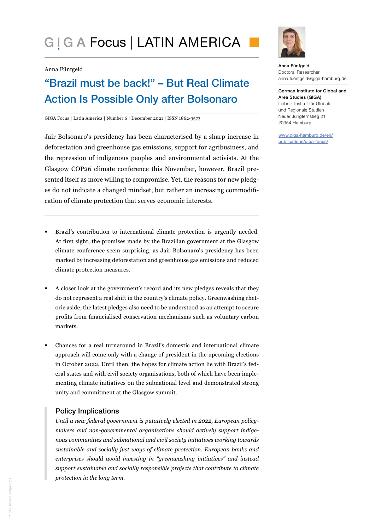# G I G A Focus | LATIN AMERICA

#### Anna Fünfgeld

## "Brazil must be back!" – But Real Climate Action Is Possible Only after Bolsonaro

#### GIGA Focus | Latin America | Number 6 | December 2021 | ISSN 1862-3573

Jair Bolsonaro's presidency has been characterised by a sharp increase in deforestation and greenhouse gas emissions, support for agribusiness, and the repression of indigenous peoples and environmental activists. At the Glasgow COP26 climate conference this November, however, Brazil presented itself as more willing to compromise. Yet, the reasons for new pledges do not indicate a changed mindset, but rather an increasing commodification of climate protection that serves economic interests.

- Brazil's contribution to international climate protection is urgently needed. At first sight, the promises made by the Brazilian government at the Glasgow climate conference seem surprising, as Jair Bolsonaro's presidency has been marked by increasing deforestation and greenhouse gas emissions and reduced climate protection measures.
- A closer look at the government's record and its new pledges reveals that they do not represent a real shift in the country's climate policy. Greenwashing rhetoric aside, the latest pledges also need to be understood as an attempt to secure profits from financialised conservation mechanisms such as voluntary carbon markets.
- Chances for a real turnaround in Brazil's domestic and international climate approach will come only with a change of president in the upcoming elections in October 2022. Until then, the hopes for climate action lie with Brazil's federal states and with civil society organisations, both of which have been implementing climate initiatives on the subnational level and demonstrated strong unity and commitment at the Glasgow summit.

## Policy Implications

*Until a new federal government is putatively elected in 2022, European policymakers and non-governmental organisations should actively support indigenous communities and subnational and civil society initiatives working towards sustainable and socially just ways of climate protection. European banks and enterprises should avoid investing in "greenwashing initiatives" and instead support sustainable and socially responsible projects that contribute to climate protection in the long term.* 



Anna Fünfgeld Doctoral Researcher anna.fuenfgeld@giga-hamburg.de

German Institute for Global and Area Studies (GIGA) Leibniz-Institut für Globale und Regionale Studien Neuer Jungfernstieg 21 20354 Hamburg

www.giga-hamburg.de/en/ publications/giga-focus/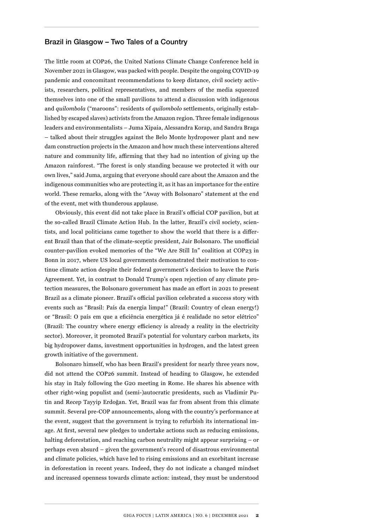## Brazil in Glasgow – Two Tales of a Country

The little room at COP26, the United Nations Climate Change Conference held in November 2021 in Glasgow, was packed with people. Despite the ongoing COVID-19 pandemic and concomitant recommendations to keep distance, civil society activists, researchers, political representatives, and members of the media squeezed themselves into one of the small pavilions to attend a discussion with indigenous and *quilombola* ("maroons": residents of *quilombolo* settlements, originally established by escaped slaves) activists from the Amazon region. Three female indigenous leaders and environmentalists – Juma Xipaia, Alessandra Korap, and Sandra Braga – talked about their struggles against the Belo Monte hydropower plant and new dam construction projects in the Amazon and how much these interventions altered nature and community life, affirming that they had no intention of giving up the Amazon rainforest. "The forest is only standing because we protected it with our own lives," said Juma, arguing that everyone should care about the Amazon and the indigenous communities who are protecting it, as it has an importance for the entire world. These remarks, along with the "Away with Bolsonaro" statement at the end of the event, met with thunderous applause.

Obviously, this event did not take place in Brazil's official COP pavilion, but at the so-called Brazil Climate Action Hub. In the latter, Brazil's civil society, scientists, and local politicians came together to show the world that there is a different Brazil than that of the climate-sceptic president, Jair Bolsonaro. The unofficial counter-pavilion evoked memories of the "We Are Still In" coalition at COP23 in Bonn in 2017, where US local governments demonstrated their motivation to continue climate action despite their federal government's decision to leave the Paris Agreement. Yet, in contrast to Donald Trump's open rejection of any climate protection measures, the Bolsonaro government has made an effort in 2021 to present Brazil as a climate pioneer. Brazil's official pavilion celebrated a success story with events such as "Brasil: País da energia limpa!" (Brazil: Country of clean energy!) or "Brasil: O país em que a eficiência energética já é realidade no setor elétrico" (Brazil: The country where energy efficiency is already a reality in the electricity sector). Moreover, it promoted Brazil's potential for voluntary carbon markets, its big hydropower dams, investment opportunities in hydrogen, and the latest green growth initiative of the government.

Bolsonaro himself, who has been Brazil's president for nearly three years now, did not attend the COP26 summit. Instead of heading to Glasgow, he extended his stay in Italy following the G20 meeting in Rome. He shares his absence with other right-wing populist and (semi-)autocratic presidents, such as Vladimir Putin and Recep Tayyip Erdoğan. Yet, Brazil was far from absent from this climate summit. Several pre-COP announcements, along with the country's performance at the event, suggest that the government is trying to refurbish its international image. At first, several new pledges to undertake actions such as reducing emissions, halting deforestation, and reaching carbon neutrality might appear surprising – or perhaps even absurd – given the government's record of disastrous environmental and climate policies, which have led to rising emissions and an exorbitant increase in deforestation in recent years. Indeed, they do not indicate a changed mindset and increased openness towards climate action: instead, they must be understood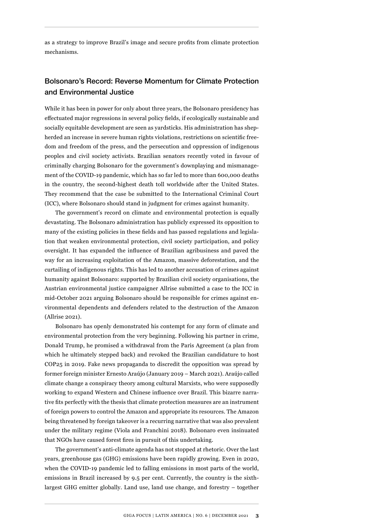as a strategy to improve Brazil's image and secure profits from climate protection mechanisms.

## Bolsonaro's Record: Reverse Momentum for Climate Protection and Environmental Justice

While it has been in power for only about three years, the Bolsonaro presidency has effectuated major regressions in several policy fields, if ecologically sustainable and socially equitable development are seen as yardsticks. His administration has shepherded an increase in severe human rights violations, restrictions on scientific freedom and freedom of the press, and the persecution and oppression of indigenous peoples and civil society activists. Brazilian senators recently voted in favour of criminally charging Bolsonaro for the government's downplaying and mismanagement of the COVID-19 pandemic, which has so far led to more than 600,000 deaths in the country, the second-highest death toll worldwide after the United States. They recommend that the case be submitted to the International Criminal Court (ICC), where Bolsonaro should stand in judgment for crimes against humanity.

The government's record on climate and environmental protection is equally devastating. The Bolsonaro administration has publicly expressed its opposition to many of the existing policies in these fields and has passed regulations and legislation that weaken environmental protection, civil society participation, and policy oversight. It has expanded the influence of Brazilian agribusiness and paved the way for an increasing exploitation of the Amazon, massive deforestation, and the curtailing of indigenous rights. This has led to another accusation of crimes against humanity against Bolsonaro: supported by Brazilian civil society organisations, the Austrian environmental justice campaigner Allrise submitted a case to the ICC in mid-October 2021 arguing Bolsonaro should be responsible for crimes against environmental dependents and defenders related to the destruction of the Amazon (Allrise 2021).

Bolsonaro has openly demonstrated his contempt for any form of climate and environmental protection from the very beginning. Following his partner in crime, Donald Trump, he promised a withdrawal from the Paris Agreement (a plan from which he ultimately stepped back) and revoked the Brazilian candidature to host COP25 in 2019. Fake news propaganda to discredit the opposition was spread by former foreign minister Ernesto Araújo (January 2019 – March 2021). Araújo called climate change a conspiracy theory among cultural Marxists, who were supposedly working to expand Western and Chinese influence over Brazil. This bizarre narrative fits perfectly with the thesis that climate protection measures are an instrument of foreign powers to control the Amazon and appropriate its resources. The Amazon being threatened by foreign takeover is a recurring narrative that was also prevalent under the military regime (Viola and Franchini 2018). Bolsonaro even insinuated that NGOs have caused forest fires in pursuit of this undertaking.

The government's anti-climate agenda has not stopped at rhetoric. Over the last years, greenhouse gas (GHG) emissions have been rapidly growing. Even in 2020, when the COVID-19 pandemic led to falling emissions in most parts of the world, emissions in Brazil increased by 9.5 per cent. Currently, the country is the sixthlargest GHG emitter globally. Land use, land use change, and forestry – together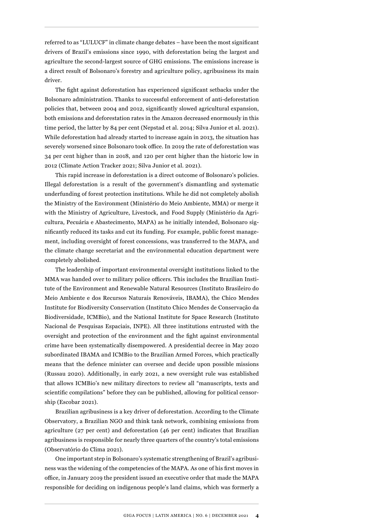referred to as "LULUCF" in climate change debates – have been the most significant drivers of Brazil's emissions since 1990, with deforestation being the largest and agriculture the second-largest source of GHG emissions. The emissions increase is a direct result of Bolsonaro's forestry and agriculture policy, agribusiness its main driver.

The fight against deforestation has experienced significant setbacks under the Bolsonaro administration. Thanks to successful enforcement of anti-deforestation policies that, between 2004 and 2012, significantly slowed agricultural expansion, both emissions and deforestation rates in the Amazon decreased enormously in this time period, the latter by 84 per cent (Nepstad et al. 2014; Silva Junior et al. 2021). While deforestation had already started to increase again in 2013, the situation has severely worsened since Bolsonaro took office. In 2019 the rate of deforestation was 34 per cent higher than in 2018, and 120 per cent higher than the historic low in 2012 (Climate Action Tracker 2021; Silva Junior et al. 2021).

This rapid increase in deforestation is a direct outcome of Bolsonaro's policies. Illegal deforestation is a result of the government's dismantling and systematic underfunding of forest protection institutions. While he did not completely abolish the Ministry of the Environment (Ministério do Meio Ambiente, MMA) or merge it with the Ministry of Agriculture, Livestock, and Food Supply (Ministério da Agricultura, Pecuária e Abastecimento, MAPA) as he initially intended, Bolsonaro significantly reduced its tasks and cut its funding. For example, public forest management, including oversight of forest concessions, was transferred to the MAPA, and the climate change secretariat and the environmental education department were completely abolished.

The leadership of important environmental oversight institutions linked to the MMA was handed over to military police officers. This includes the Brazilian Institute of the Environment and Renewable Natural Resources (Instituto Brasileiro do Meio Ambiente e dos Recursos Naturais Renováveis, IBAMA), the Chico Mendes Institute for Biodiversity Conservation (Instituto Chico Mendes de Conservação da Biodiversidade, ICMBio), and the National Institute for Space Research (Instituto Nacional de Pesquisas Espaciais, INPE). All three institutions entrusted with the oversight and protection of the environment and the fight against environmental crime have been systematically disempowered. A presidential decree in May 2020 subordinated IBAMA and ICMBio to the Brazilian Armed Forces, which practically means that the defence minister can oversee and decide upon possible missions (Russau 2020). Additionally, in early 2021, a new oversight rule was established that allows ICMBio's new military directors to review all "manuscripts, texts and scientific compilations" before they can be published, allowing for political censorship (Escobar 2021).

Brazilian agribusiness is a key driver of deforestation. According to the Climate Observatory, a Brazilian NGO and think tank network, combining emissions from agriculture (27 per cent) and deforestation (46 per cent) indicates that Brazilian agribusiness is responsible for nearly three quarters of the country's total emissions (Observatório do Clima 2021).

One important step in Bolsonaro's systematic strengthening of Brazil's agribusiness was the widening of the competencies of the MAPA. As one of his first moves in office, in January 2019 the president issued an executive order that made the MAPA responsible for deciding on indigenous people's land claims, which was formerly a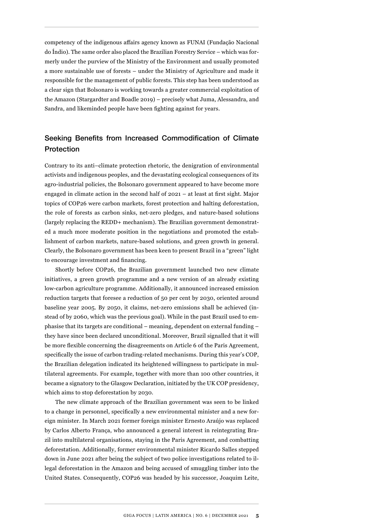competency of the indigenous affairs agency known as FUNAI (Fundação Nacional do Índio). The same order also placed the Brazilian Forestry Service – which was formerly under the purview of the Ministry of the Environment and usually promoted a more sustainable use of forests – under the Ministry of Agriculture and made it responsible for the management of public forests. This step has been understood as a clear sign that Bolsonaro is working towards a greater commercial exploitation of the Amazon (Stargardter and Boadle 2019) – precisely what Juma, Alessandra, and Sandra, and likeminded people have been fighting against for years.

## Seeking Benefits from Increased Commodification of Climate Protection

Contrary to its anti–climate protection rhetoric, the denigration of environmental activists and indigenous peoples, and the devastating ecological consequences of its agro-industrial policies, the Bolsonaro government appeared to have become more engaged in climate action in the second half of 2021 – at least at first sight. Major topics of COP26 were carbon markets, forest protection and halting deforestation, the role of forests as carbon sinks, net-zero pledges, and nature-based solutions (largely replacing the REDD+ mechanism). The Brazilian government demonstrated a much more moderate position in the negotiations and promoted the establishment of carbon markets, nature-based solutions, and green growth in general. Clearly, the Bolsonaro government has been keen to present Brazil in a "green" light to encourage investment and financing.

Shortly before COP26, the Brazilian government launched two new climate initiatives, a green growth programme and a new version of an already existing low-carbon agriculture programme. Additionally, it announced increased emission reduction targets that foresee a reduction of 50 per cent by 2030, oriented around baseline year 2005. By 2050, it claims, net-zero emissions shall be achieved (instead of by 2060, which was the previous goal). While in the past Brazil used to emphasise that its targets are conditional – meaning, dependent on external funding – they have since been declared unconditional. Moreover, Brazil signalled that it will be more flexible concerning the disagreements on Article 6 of the Paris Agreement, specifically the issue of carbon trading-related mechanisms. During this year's COP, the Brazilian delegation indicated its heightened willingness to participate in multilateral agreements. For example, together with more than 100 other countries, it became a signatory to the Glasgow Declaration, initiated by the UK COP presidency, which aims to stop deforestation by 2030.

The new climate approach of the Brazilian government was seen to be linked to a change in personnel, specifically a new environmental minister and a new foreign minister. In March 2021 former foreign minister Ernesto Araújo was replaced by Carlos Alberto França, who announced a general interest in reintegrating Brazil into multilateral organisations, staying in the Paris Agreement, and combatting deforestation. Additionally, former environmental minister Ricardo Salles stepped down in June 2021 after being the subject of two police investigations related to illegal deforestation in the Amazon and being accused of smuggling timber into the United States. Consequently, COP26 was headed by his successor, Joaquim Leite,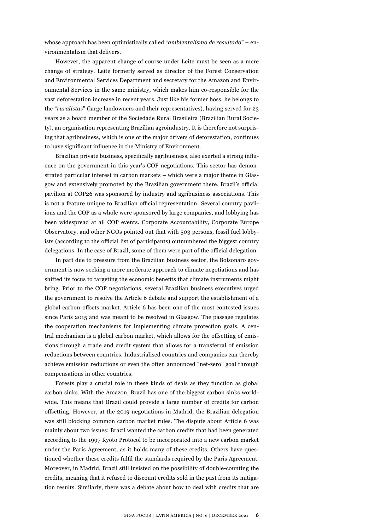whose approach has been optimistically called "*ambientalismo de resultado*" – environmentalism that delivers.

However, the apparent change of course under Leite must be seen as a mere change of strategy. Leite formerly served as director of the Forest Conservation and Environmental Services Department and secretary for the Amazon and Environmental Services in the same ministry, which makes him co-responsible for the vast deforestation increase in recent years. Just like his former boss, he belongs to the "*ruralistas*" (large landowners and their representatives), having served for 23 years as a board member of the Sociedade Rural Brasileira (Brazilian Rural Society), an organisation representing Brazilian agroindustry. It is therefore not surprising that agribusiness, which is one of the major drivers of deforestation, continues to have significant influence in the Ministry of Environment.

Brazilian private business, specifically agribusiness, also exerted a strong influence on the government in this year's COP negotiations. This sector has demonstrated particular interest in carbon markets – which were a major theme in Glasgow and extensively promoted by the Brazilian government there. Brazil's official pavilion at COP26 was sponsored by industry and agribusiness associations. This is not a feature unique to Brazilian official representation: Several country pavilions and the COP as a whole were sponsored by large companies, and lobbying has been widespread at all COP events. Corporate Accountability, Corporate Europe Observatory, and other NGOs pointed out that with 503 persons, fossil fuel lobbyists (according to the official list of participants) outnumbered the biggest country delegations. In the case of Brazil, some of them were part of the official delegation.

In part due to pressure from the Brazilian business sector, the Bolsonaro government is now seeking a more moderate approach to climate negotiations and has shifted its focus to targeting the economic benefits that climate instruments might bring. Prior to the COP negotiations, several Brazilian business executives urged the government to resolve the Article 6 debate and support the establishment of a global carbon-offsets market. Article 6 has been one of the most contested issues since Paris 2015 and was meant to be resolved in Glasgow. The passage regulates the cooperation mechanisms for implementing climate protection goals. A central mechanism is a global carbon market, which allows for the offsetting of emissions through a trade and credit system that allows for a transferral of emission reductions between countries. Industrialised countries and companies can thereby achieve emission reductions or even the often announced "net-zero" goal through compensations in other countries.

Forests play a crucial role in these kinds of deals as they function as global carbon sinks. With the Amazon, Brazil has one of the biggest carbon sinks worldwide. This means that Brazil could provide a large number of credits for carbon offsetting. However, at the 2019 negotiations in Madrid, the Brazilian delegation was still blocking common carbon market rules. The dispute about Article 6 was mainly about two issues: Brazil wanted the carbon credits that had been generated according to the 1997 Kyoto Protocol to be incorporated into a new carbon market under the Paris Agreement, as it holds many of these credits. Others have questioned whether these credits fulfil the standards required by the Paris Agreement. Moreover, in Madrid, Brazil still insisted on the possibility of double-counting the credits, meaning that it refused to discount credits sold in the past from its mitigation results. Similarly, there was a debate about how to deal with credits that are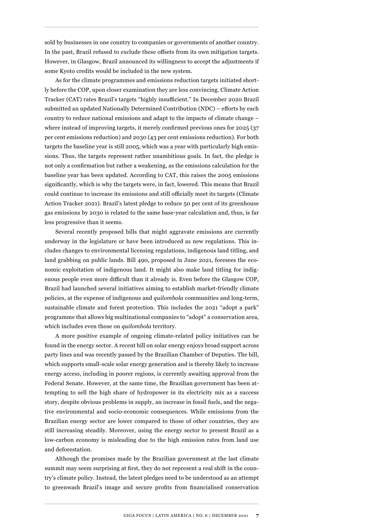sold by businesses in one country to companies or governments of another country. In the past, Brazil refused to exclude these offsets from its own mitigation targets. However, in Glasgow, Brazil announced its willingness to accept the adjustments if some Kyoto credits would be included in the new system.

As for the climate programmes and emissions reduction targets initiated shortly before the COP, upon closer examination they are less convincing. Climate Action Tracker (CAT) rates Brazil's targets "highly insufficient." In December 2020 Brazil submitted an updated Nationally Determined Contribution (NDC) – efforts by each country to reduce national emissions and adapt to the impacts of climate change – where instead of improving targets, it merely confirmed previous ones for 2025 (37 per cent emissions reduction) and 2030 (43 per cent emissions reduction). For both targets the baseline year is still 2005, which was a year with particularly high emissions. Thus, the targets represent rather unambitious goals. In fact, the pledge is not only a confirmation but rather a weakening, as the emissions calculation for the baseline year has been updated. According to CAT, this raises the 2005 emissions significantly, which is why the targets were, in fact, lowered. This means that Brazil could continue to increase its emissions and still officially meet its targets (Climate Action Tracker 2021). Brazil's latest pledge to reduce 50 per cent of its greenhouse gas emissions by 2030 is related to the same base-year calculation and, thus, is far less progressive than it seems.

Several recently proposed bills that might aggravate emissions are currently underway in the legislature or have been introduced as new regulations. This includes changes to environmental licensing regulations, indigenous land titling, and land grabbing on public lands. Bill 490, proposed in June 2021, foresees the economic exploitation of indigenous land. It might also make land titling for indigenous people even more difficult than it already is. Even before the Glasgow COP, Brazil had launched several initiatives aiming to establish market-friendly climate policies, at the expense of indigenous and *quilombola* communities and long-term, sustainable climate and forest protection. This includes the 2021 "adopt a park" programme that allows big multinational companies to "adopt" a conservation area, which includes even those on *quilombola* territory.

A more positive example of ongoing climate-related policy initiatives can be found in the energy sector. A recent bill on solar energy enjoys broad support across party lines and was recently passed by the Brazilian Chamber of Deputies. The bill, which supports small-scale solar energy generation and is thereby likely to increase energy access, including in poorer regions, is currently awaiting approval from the Federal Senate. However, at the same time, the Brazilian government has been attempting to sell the high share of hydropower in its electricity mix as a success story, despite obvious problems in supply, an increase in fossil fuels, and the negative environmental and socio-economic consequences. While emissions from the Brazilian energy sector are lower compared to those of other countries, they are still increasing steadily. Moreover, using the energy sector to present Brazil as a low-carbon economy is misleading due to the high emission rates from land use and deforestation.

Although the promises made by the Brazilian government at the last climate summit may seem surprising at first, they do not represent a real shift in the country's climate policy. Instead, the latest pledges need to be understood as an attempt to greenwash Brazil's image and secure profits from financialised conservation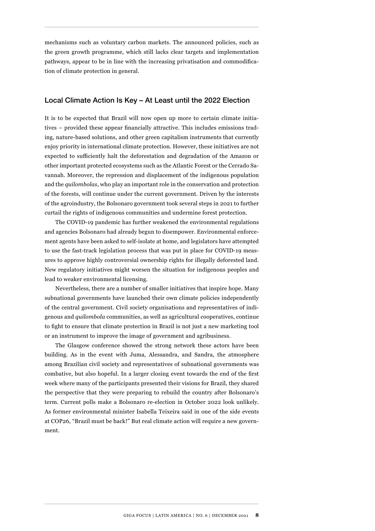mechanisms such as voluntary carbon markets. The announced policies, such as the green growth programme, which still lacks clear targets and implementation pathways, appear to be in line with the increasing privatisation and commodification of climate protection in general.

## Local Climate Action Is Key – At Least until the 2022 Election

It is to be expected that Brazil will now open up more to certain climate initiatives – provided these appear financially attractive. This includes emissions trading, nature-based solutions, and other green capitalism instruments that currently enjoy priority in international climate protection. However, these initiatives are not expected to sufficiently halt the deforestation and degradation of the Amazon or other important protected ecosystems such as the Atlantic Forest or the Cerrado Savannah. Moreover, the repression and displacement of the indigenous population and the *quilombolas*, who play an important role in the conservation and protection of the forests, will continue under the current government. Driven by the interests of the agroindustry, the Bolsonaro government took several steps in 2021 to further curtail the rights of indigenous communities and undermine forest protection.

The COVID-19 pandemic has further weakened the environmental regulations and agencies Bolsonaro had already begun to disempower. Environmental enforcement agents have been asked to self-isolate at home, and legislators have attempted to use the fast-track legislation process that was put in place for COVID-19 measures to approve highly controversial ownership rights for illegally deforested land. New regulatory initiatives might worsen the situation for indigenous peoples and lead to weaker environmental licensing.

Nevertheless, there are a number of smaller initiatives that inspire hope. Many subnational governments have launched their own climate policies independently of the central government. Civil society organisations and representatives of indigenous and *quilombola* communities, as well as agricultural cooperatives, continue to fight to ensure that climate protection in Brazil is not just a new marketing tool or an instrument to improve the image of government and agribusiness.

The Glasgow conference showed the strong network these actors have been building. As in the event with Juma, Alessandra, and Sandra, the atmosphere among Brazilian civil society and representatives of subnational governments was combative, but also hopeful. In a larger closing event towards the end of the first week where many of the participants presented their visions for Brazil, they shared the perspective that they were preparing to rebuild the country after Bolsonaro's term. Current polls make a Bolsonaro re-election in October 2022 look unlikely. As former environmental minister Isabella Teixeira said in one of the side events at COP26, "Brazil must be back!" But real climate action will require a new government.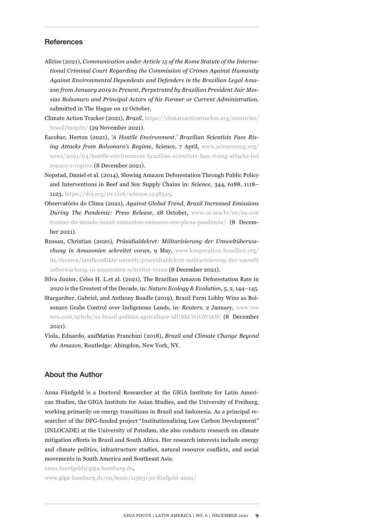## **References**

- Allrise (2021), *Communication under Article 15 of the Rome Statute of the International Criminal Court Regarding the Commission of Crimes Against Humanity Against Environmental Dependents and Defenders in the Brazilian Legal Amazon from January 2019 to Present, Perpetrated by Brazilian President Jair Messias Bolsonaro and Principal Actors of his Former or Current Administration*, submitted in The Hague on 12 October.
- Climate Action Tracker (2021), *Brazil*, [https://climateactiontracker.org/countries/](https://climateactiontracker.org/countries/brazil/targets/) [brazil/targets/](https://climateactiontracker.org/countries/brazil/targets/) (29 November 2021).
- Escobar, Herton (2021), *'A Hostile Environment.' Brazilian Scientists Face Rising Attacks from Bolsonaro's Regime*, Science, 7 April, [www.sciencemag.org/](https://www.sciencemag.org/news/2021/04/hostile-environment-brazilian-scientists-face-rising-attacks-bolsonaro-s-regime) [news/2021/04/hostile-environment-brazilian-scientists-face-rising-attacks-bol](https://www.sciencemag.org/news/2021/04/hostile-environment-brazilian-scientists-face-rising-attacks-bolsonaro-s-regime) [sonaro-s-regime](https://www.sciencemag.org/news/2021/04/hostile-environment-brazilian-scientists-face-rising-attacks-bolsonaro-s-regime) (8 December 2021).
- Nepstad, Daniel et al. (2014), Slowing Amazon Deforestation Through Public Policy and Interventions in Beef and Soy Supply Chains in: *Science*, 344, 6188, 1118– 1123, [https://doi.org/10.1126/science.1248525.](https://doi.org/10.1126/science.1248525)
- Observatório do Clima (2021), *Against Global Trend, Brazil Increased Emissions During The Pandemic: Press Release*, 28 October, [www.oc.eco.br/en/na-con](https://www.oc.eco.br/en/na-contramao-do-mundo-brasil-aumentou-emissoes-em-plena-pandemia/) [tramao-do-mundo-brasil-aumentou-emissoes-em-plena-pandemia/](https://www.oc.eco.br/en/na-contramao-do-mundo-brasil-aumentou-emissoes-em-plena-pandemia/) (8 December 2021).
- Russau, Christian (2020), *Präsidialdekret: Militarisierung der Umweltüberwachung in Amazonien schreitet voran*, 9 May, [www.kooperation-brasilien.org/](https://www.kooperation-brasilien.org/de/themen/landkonflikte-umwelt/praesidialdekret-militarisierung-der-umweltueberwachung-in-amazonien-schreitet-voran) [de/themen/landkonflikte-umwelt/praesidialdekret-militarisierung-der-umwelt](https://www.kooperation-brasilien.org/de/themen/landkonflikte-umwelt/praesidialdekret-militarisierung-der-umweltueberwachung-in-amazonien-schreitet-voran) [ueberwachung-in-amazonien-schreitet-voran](https://www.kooperation-brasilien.org/de/themen/landkonflikte-umwelt/praesidialdekret-militarisierung-der-umweltueberwachung-in-amazonien-schreitet-voran) (8 December 2021).
- Silva Junior, Celso H. L.et al. (2021), The Brazilian Amazon Deforestation Rate in 2020 is the Greatest of the Decade, in: *Nature Ecology & Evolution*, 5, 2, 144–145.
- Stargardter, Gabriel, and Anthony Boadle (2019), Brazil Farm Lobby Wins as Bolsonaro Grabs Control over Indigenous Lands, in: *Reuters*, 2 January, [www.reu](https://www.reuters.com/article/us-brazil-politics-agriculture-idUSKCN1OW0OS) [ters.com/article/us-brazil-politics-agriculture-idUSKCN1OW0OS](https://www.reuters.com/article/us-brazil-politics-agriculture-idUSKCN1OW0OS) (8 December 2021).
- Viola, Eduardo, andMatías Franchini (2018), *Brazil and Climate Change Beyond the Amazon*, Routledge: Abingdon, New York, NY.

## About the Author

Anna Fünfgeld is a Doctoral Researcher at the GIGA Institute for Latin American Studies, the GIGA Institute for Asian Studies, and the University of Freiburg, working primarily on energy transitions in Brazil and Indonesia. As a principal researcher of the DFG-funded project "Institutionalizing Low Carbon Development" (INLOCADE) at the University of Potsdam, she also conducts research on climate mitigation efforts in Brazil and South Africa. Her research interests include energy and climate politics, infrastructure studies, natural resource conflicts, and social movements in South America and Southeast Asia.

anna.fuenfgeld@giga-hamburg.de,

[www.giga-hamburg.de/en/team/11563130-fünfgeld-anna/](https://www.giga-hamburg.de/en/team/11563130-fünfgeld-anna/)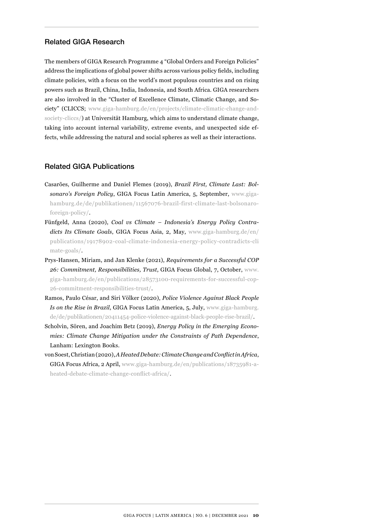## Related GIGA Research

The members of GIGA Research Programme 4 "Global Orders and Foreign Policies" address the implications of global power shifts across various policy fields, including climate policies, with a focus on the world's most populous countries and on rising powers such as Brazil, China, India, Indonesia, and South Africa. GIGA researchers are also involved in the "Cluster of Excellence Climate, Climatic Change, and Society" (CLICCS; [www.giga-hamburg.de/en/projects/climate-climatic-change-and](https://www.giga-hamburg.de/en/projects/climate-climatic-change-and-society-cliccs/)[society-cliccs/](https://www.giga-hamburg.de/en/projects/climate-climatic-change-and-society-cliccs/)) at Universität Hamburg, which aims to understand climate change, taking into account internal variability, extreme events, and unexpected side effects, while addressing the natural and social spheres as well as their interactions.

## Related GIGA Publications

- Casarões, Guilherme and Daniel Flemes (2019), *Brazil First, Climate Last: Bolsonaro's Foreign Policy*, GIGA Focus Latin America, 5, September, [www.giga](https://www.giga-hamburg.de/de/publikationen/11567076-brazil-first-climate-last-bolsonaro-foreign-policy/)[hamburg.de/de/publikationen/11567076-brazil-first-climate-last-bolsonaro](https://www.giga-hamburg.de/de/publikationen/11567076-brazil-first-climate-last-bolsonaro-foreign-policy/)[foreign-policy/](https://www.giga-hamburg.de/de/publikationen/11567076-brazil-first-climate-last-bolsonaro-foreign-policy/).
- Fünfgeld, Anna (2020), *Coal vs Climate Indonesia's Energy Policy Contradicts Its Climate Goals*, GIGA Focus Asia, 2, May, [www.giga-hamburg.de/en/](https://www.giga-hamburg.de/en/publications/19178902-coal-climate-indonesia-energy-policy-contradicts-climate-goals/) [publications/19178902-coal-climate-indonesia-energy-policy-contradicts-cli](https://www.giga-hamburg.de/en/publications/19178902-coal-climate-indonesia-energy-policy-contradicts-climate-goals/)  [mate-goals/.](https://www.giga-hamburg.de/en/publications/19178902-coal-climate-indonesia-energy-policy-contradicts-climate-goals/)
- Prys-Hansen, Miriam, and Jan Klenke (2021), *Requirements for a Successful COP 26: Commitment, Responsibilities, Trust*, GIGA Focus Global, 7, October, [www.](https://www.giga-hamburg.de/en/publications/28573100-requirements-for-successful-cop-26-commitment-responsibilities-trust/) [giga-hamburg.de/en/publications/28573100-requirements-for-successful-cop-](https://www.giga-hamburg.de/en/publications/28573100-requirements-for-successful-cop-26-commitment-responsibilities-trust/)[26-commitment-responsibilities-trust/](https://www.giga-hamburg.de/en/publications/28573100-requirements-for-successful-cop-26-commitment-responsibilities-trust/).
- Ramos, Paulo César, and Siri Völker (2020), *Police Violence Against Black People Is on the Rise in Brazil*, GIGA Focus Latin America, 5, July, [www.giga-hamburg.](https://www.giga-hamburg.de/de/publikationen/20411454-police-violence-against-black-people-rise-brazil/) [de/de/publikationen/20411454-police-violence-against-black-people-rise-brazil/](https://www.giga-hamburg.de/de/publikationen/20411454-police-violence-against-black-people-rise-brazil/).
- Scholvin, Sören, and Joachim Betz (2019), *Energy Policy in the Emerging Economies: Climate Change Mitigation under the Constraints of Path Dependence*, Lanham: Lexington Books.
- von Soest, Christian (2020), *A Heated Debate: Climate Change and Conflict in Africa*, GIGA Focus Africa, 2 April, [www.giga-hamburg.de/en/publications/18735981-a](https://www.giga-hamburg.de/en/publications/18735981-a-heated-debate-climate-change-conflict-africa/)[heated-debate-climate-change-conflict-africa/](https://www.giga-hamburg.de/en/publications/18735981-a-heated-debate-climate-change-conflict-africa/).